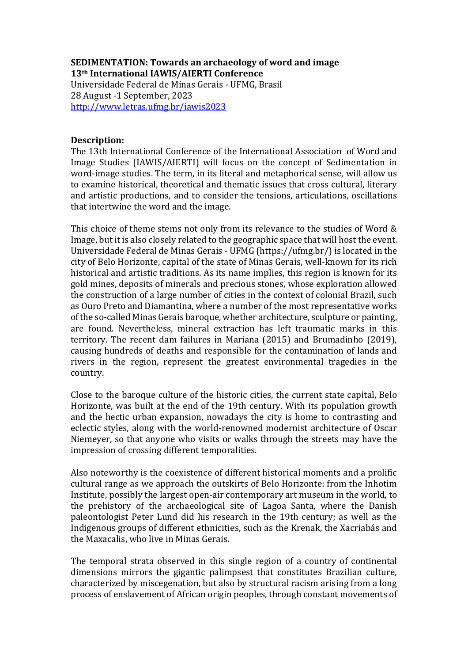### **SEDIMENTATION: Towards an archaeology of word and image 13th International IAWIS/AIERTI Conference**

Universidade Federal de Minas Gerais - UFMG, Brasil 28 August -1 September, 2023 <http://www.letras.ufmg.br/iawis2023>

#### **Description:**

The 13th International Conference of the International Association of Word and Image Studies (IAWIS/AIERTI) will focus on the concept of Sedimentation in word-image studies. The term, in its literal and metaphorical sense, will allow us to examine historical, theoretical and thematic issues that cross cultural, literary and artistic productions, and to consider the tensions, articulations, oscillations that intertwine the word and the image.

This choice of theme stems not only from its relevance to the studies of Word & Image, but it is also closely related to the geographic space that will host the event. Universidade Federal de Minas Gerais - UFMG (https://ufmg.br/) is located in the city of Belo Horizonte, capital of the state of Minas Gerais, well-known for its rich historical and artistic traditions. As its name implies, this region is known for its gold mines, deposits of minerals and precious stones, whose exploration allowed the construction of a large number of cities in the context of colonial Brazil, such as Ouro Preto and Diamantina, where a number of the most representative works of the so-called Minas Gerais baroque, whether architecture, sculpture or painting, are found. Nevertheless, mineral extraction has left traumatic marks in this territory. The recent dam failures in Mariana (2015) and Brumadinho (2019), causing hundreds of deaths and responsible for the contamination of lands and rivers in the region, represent the greatest environmental tragedies in the country.

Close to the baroque culture of the historic cities, the current state capital, Belo Horizonte, was built at the end of the 19th century. With its population growth and the hectic urban expansion, nowadays the city is home to contrasting and eclectic styles, along with the world-renowned modernist architecture of Oscar Niemeyer, so that anyone who visits or walks through the streets may have the impression of crossing different temporalities.

Also noteworthy is the coexistence of different historical moments and a prolific cultural range as we approach the outskirts of Belo Horizonte: from the Inhotim Institute, possibly the largest open-air contemporary art museum in the world, to the prehistory of the archaeological site of Lagoa Santa, where the Danish paleontologist Peter Lund did his research in the 19th century; as well as the Indigenous groups of different ethnicities, such as the Krenak, the Xacriabás and the Maxacalis, who live in Minas Gerais.

The temporal strata observed in this single region of a country of continental dimensions mirrors the gigantic palimpsest that constitutes Brazilian culture, characterized by miscegenation, but also by structural racism arising from a long process of enslavement of African origin peoples, through constant movements of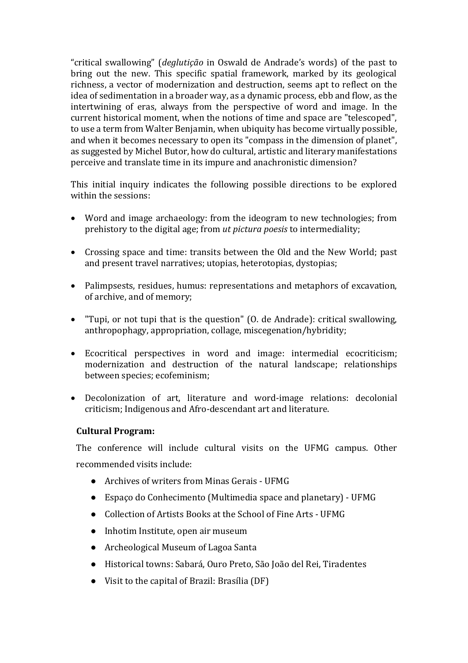"critical swallowing" (*deglutição* in Oswald de Andrade's words) of the past to bring out the new. This specific spatial framework, marked by its geological richness, a vector of modernization and destruction, seems apt to reflect on the idea of sedimentation in a broader way, as a dynamic process, ebb and flow, as the intertwining of eras, always from the perspective of word and image. In the current historical moment, when the notions of time and space are "telescoped", to use a term from Walter Benjamin, when ubiquity has become virtually possible, and when it becomes necessary to open its "compass in the dimension of planet", as suggested by Michel Butor, how do cultural, artistic and literary manifestations perceive and translate time in its impure and anachronistic dimension?

This initial inquiry indicates the following possible directions to be explored within the sessions:

- Word and image archaeology: from the ideogram to new technologies; from prehistory to the digital age; from *ut pictura poesis* to intermediality;
- Crossing space and time: transits between the Old and the New World; past and present travel narratives; utopias, heterotopias, dystopias;
- Palimpsests, residues, humus: representations and metaphors of excavation, of archive, and of memory;
- "Tupi, or not tupi that is the question" (O. de Andrade): critical swallowing, anthropophagy, appropriation, collage, miscegenation/hybridity;
- Ecocritical perspectives in word and image: intermedial ecocriticism; modernization and destruction of the natural landscape; relationships between species; ecofeminism;
- Decolonization of art, literature and word-image relations: decolonial criticism; Indigenous and Afro-descendant art and literature.

#### **Cultural Program:**

The conference will include cultural visits on the UFMG campus. Other recommended visits include:

- Archives of writers from Minas Gerais UFMG
- Espaço do Conhecimento (Multimedia space and planetary) UFMG
- Collection of Artists Books at the School of Fine Arts UFMG
- Inhotim Institute, open air museum
- Archeological Museum of Lagoa Santa
- Historical towns: Sabará, Ouro Preto, São João del Rei, Tiradentes
- Visit to the capital of Brazil: Brasília (DF)